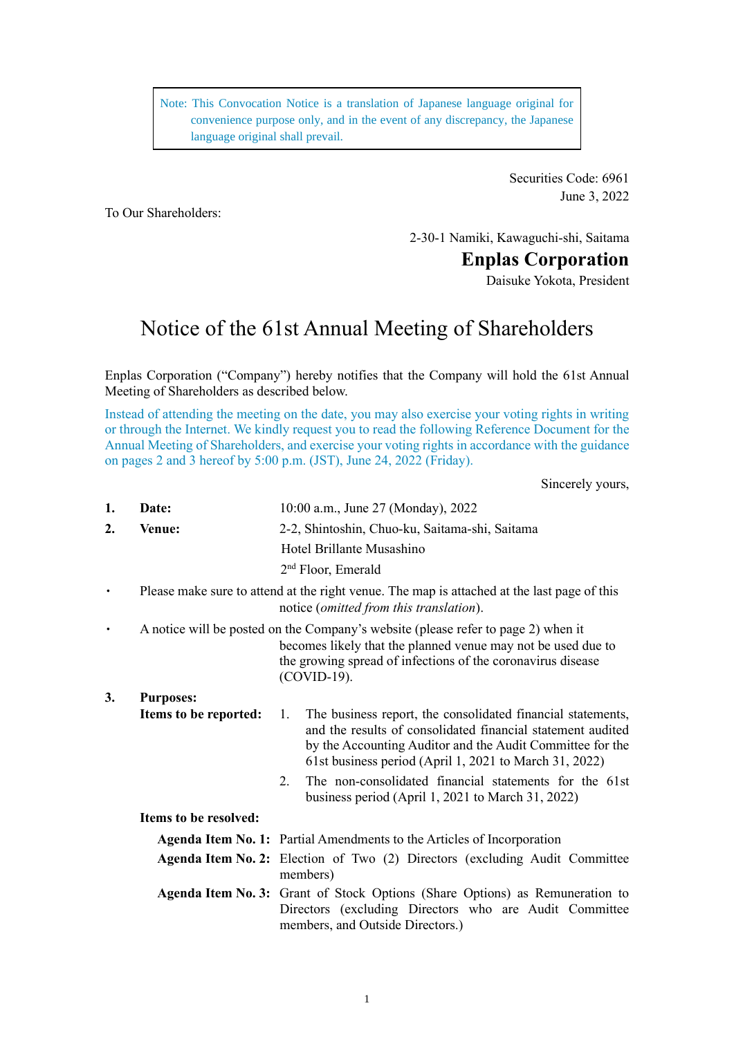Note: This Convocation Notice is a translation of Japanese language original for convenience purpose only, and in the event of any discrepancy, the Japanese language original shall prevail.

> Securities Code: 6961 June 3, 2022

To Our Shareholders:

2-30-1 Namiki, Kawaguchi-shi, Saitama

**Enplas Corporation**

Daisuke Yokota, President

# Notice of the 61st Annual Meeting of Shareholders

Enplas Corporation ("Company") hereby notifies that the Company will hold the 61st Annual Meeting of Shareholders as described below.

Instead of attending the meeting on the date, you may also exercise your voting rights in writing or through the Internet. We kindly request you to read the following Reference Document for the Annual Meeting of Shareholders, and exercise your voting rights in accordance with the guidance on pages 2 and 3 hereof by 5:00 p.m. (JST), June 24, 2022 (Friday).

Sincerely yours,

| 1.        | Date:                 | 10:00 a.m., June 27 (Monday), 2022                                                                                                                                                                                                                      |  |  |  |
|-----------|-----------------------|---------------------------------------------------------------------------------------------------------------------------------------------------------------------------------------------------------------------------------------------------------|--|--|--|
| 2.        | Venue:                | 2-2, Shintoshin, Chuo-ku, Saitama-shi, Saitama                                                                                                                                                                                                          |  |  |  |
|           |                       | Hotel Brillante Musashino                                                                                                                                                                                                                               |  |  |  |
|           |                       | $2nd$ Floor, Emerald                                                                                                                                                                                                                                    |  |  |  |
| $\bullet$ |                       | Please make sure to attend at the right venue. The map is attached at the last page of this<br>notice (omitted from this translation).                                                                                                                  |  |  |  |
| $\bullet$ |                       | A notice will be posted on the Company's website (please refer to page 2) when it<br>becomes likely that the planned venue may not be used due to<br>the growing spread of infections of the coronavirus disease<br>(COVID-19).                         |  |  |  |
| 3.        | <b>Purposes:</b>      |                                                                                                                                                                                                                                                         |  |  |  |
|           | Items to be reported: | The business report, the consolidated financial statements,<br>1.<br>and the results of consolidated financial statement audited<br>by the Accounting Auditor and the Audit Committee for the<br>61st business period (April 1, 2021 to March 31, 2022) |  |  |  |
|           |                       | The non-consolidated financial statements for the 61st<br>2.<br>business period (April 1, 2021 to March 31, 2022)                                                                                                                                       |  |  |  |
|           | Items to be resolved: |                                                                                                                                                                                                                                                         |  |  |  |
|           |                       | <b>Agenda Item No. 1:</b> Partial Amendments to the Articles of Incorporation                                                                                                                                                                           |  |  |  |
|           |                       | Agenda Item No. 2: Election of Two (2) Directors (excluding Audit Committee<br>members)                                                                                                                                                                 |  |  |  |
|           |                       | Agenda Item No. 3: Grant of Stock Options (Share Options) as Remuneration to<br>Directors (excluding Directors who are Audit Committee<br>members, and Outside Directors.)                                                                              |  |  |  |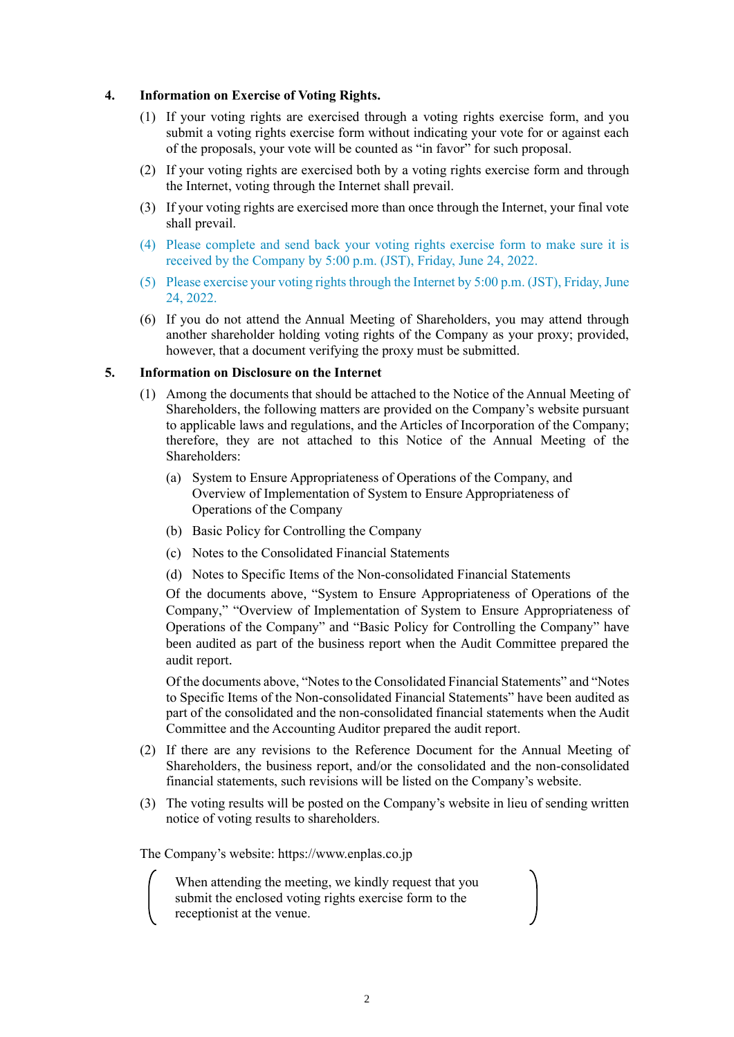### **4. Information on Exercise of Voting Rights.**

- (1) If your voting rights are exercised through a voting rights exercise form, and you submit a voting rights exercise form without indicating your vote for or against each of the proposals, your vote will be counted as "in favor" for such proposal.
- (2) If your voting rights are exercised both by a voting rights exercise form and through the Internet, voting through the Internet shall prevail.
- (3) If your voting rights are exercised more than once through the Internet, your final vote shall prevail.
- (4) Please complete and send back your voting rights exercise form to make sure it is received by the Company by 5:00 p.m. (JST), Friday, June 24, 2022.
- (5) Please exercise your voting rights through the Internet by 5:00 p.m. (JST), Friday, June 24, 2022.
- (6) If you do not attend the Annual Meeting of Shareholders, you may attend through another shareholder holding voting rights of the Company as your proxy; provided, however, that a document verifying the proxy must be submitted.

### **5. Information on Disclosure on the Internet**

- (1) Among the documents that should be attached to the Notice of the Annual Meeting of Shareholders, the following matters are provided on the Company's website pursuant to applicable laws and regulations, and the Articles of Incorporation of the Company; therefore, they are not attached to this Notice of the Annual Meeting of the Shareholders:
	- (a) System to Ensure Appropriateness of Operations of the Company, and Overview of Implementation of System to Ensure Appropriateness of Operations of the Company
	- (b) Basic Policy for Controlling the Company
	- (c) Notes to the Consolidated Financial Statements
	- (d) Notes to Specific Items of the Non-consolidated Financial Statements

Of the documents above, "System to Ensure Appropriateness of Operations of the Company," "Overview of Implementation of System to Ensure Appropriateness of Operations of the Company" and "Basic Policy for Controlling the Company" have been audited as part of the business report when the Audit Committee prepared the audit report.

Of the documents above, "Notes to the Consolidated Financial Statements" and "Notes to Specific Items of the Non-consolidated Financial Statements" have been audited as part of the consolidated and the non-consolidated financial statements when the Audit Committee and the Accounting Auditor prepared the audit report.

- (2) If there are any revisions to the Reference Document for the Annual Meeting of Shareholders, the business report, and/or the consolidated and the non-consolidated financial statements, such revisions will be listed on the Company's website.
- (3) The voting results will be posted on the Company's website in lieu of sending written notice of voting results to shareholders.

The Company's website: https://www.enplas.co.jp

When attending the meeting, we kindly request that you submit the enclosed voting rights exercise form to the receptionist at the venue.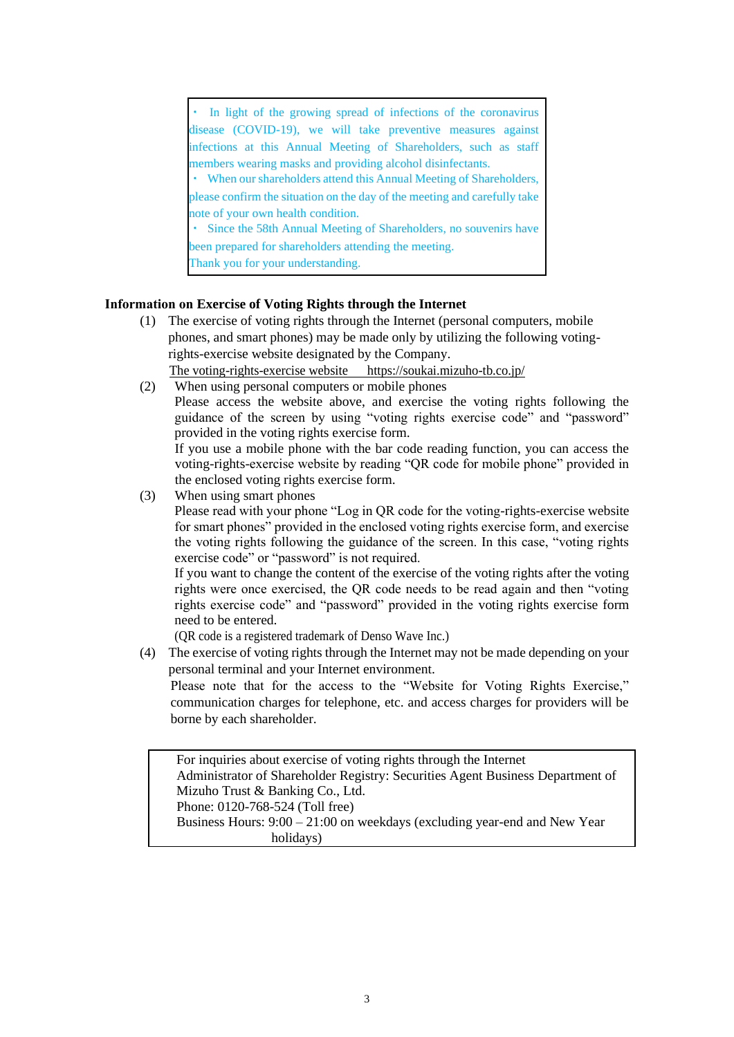| • In light of the growing spread of infections of the coronavirus         |  |  |  |  |  |  |
|---------------------------------------------------------------------------|--|--|--|--|--|--|
| disease (COVID-19), we will take preventive measures against              |  |  |  |  |  |  |
| infections at this Annual Meeting of Shareholders, such as staff          |  |  |  |  |  |  |
| members wearing masks and providing alcohol disinfectants.                |  |  |  |  |  |  |
| • When our shareholders attend this Annual Meeting of Shareholders,       |  |  |  |  |  |  |
| please confirm the situation on the day of the meeting and carefully take |  |  |  |  |  |  |
| note of your own health condition.                                        |  |  |  |  |  |  |
| • Since the 58th Annual Meeting of Shareholders, no souvenirs have        |  |  |  |  |  |  |
| been prepared for shareholders attending the meeting.                     |  |  |  |  |  |  |
| Thank you for your understanding.                                         |  |  |  |  |  |  |

### **Information on Exercise of Voting Rights through the Internet**

- (1) The exercise of voting rights through the Internet (personal computers, mobile phones, and smart phones) may be made only by utilizing the following votingrights-exercise website designated by the Company. The voting-rights-exercise website https://soukai.mizuho-tb.co.jp/
- (2) When using personal computers or mobile phones Please access the website above, and exercise the voting rights following the guidance of the screen by using "voting rights exercise code" and "password" provided in the voting rights exercise form. If you use a mobile phone with the bar code reading function, you can access the voting-rights-exercise website by reading "QR code for mobile phone" provided in the enclosed voting rights exercise form.
- (3) When using smart phones Please read with your phone "Log in QR code for the voting-rights-exercise website for smart phones" provided in the enclosed voting rights exercise form, and exercise the voting rights following the guidance of the screen. In this case, "voting rights exercise code" or "password" is not required.

If you want to change the content of the exercise of the voting rights after the voting rights were once exercised, the QR code needs to be read again and then "voting rights exercise code" and "password" provided in the voting rights exercise form need to be entered.

(QR code is a registered trademark of Denso Wave Inc.)

(4) The exercise of voting rights through the Internet may not be made depending on your personal terminal and your Internet environment.

Please note that for the access to the "Website for Voting Rights Exercise," communication charges for telephone, etc. and access charges for providers will be borne by each shareholder.

For inquiries about exercise of voting rights through the Internet Administrator of Shareholder Registry: Securities Agent Business Department of Mizuho Trust & Banking Co., Ltd. Phone: 0120-768-524 (Toll free) Business Hours: 9:00 – 21:00 on weekdays (excluding year-end and New Year holidays)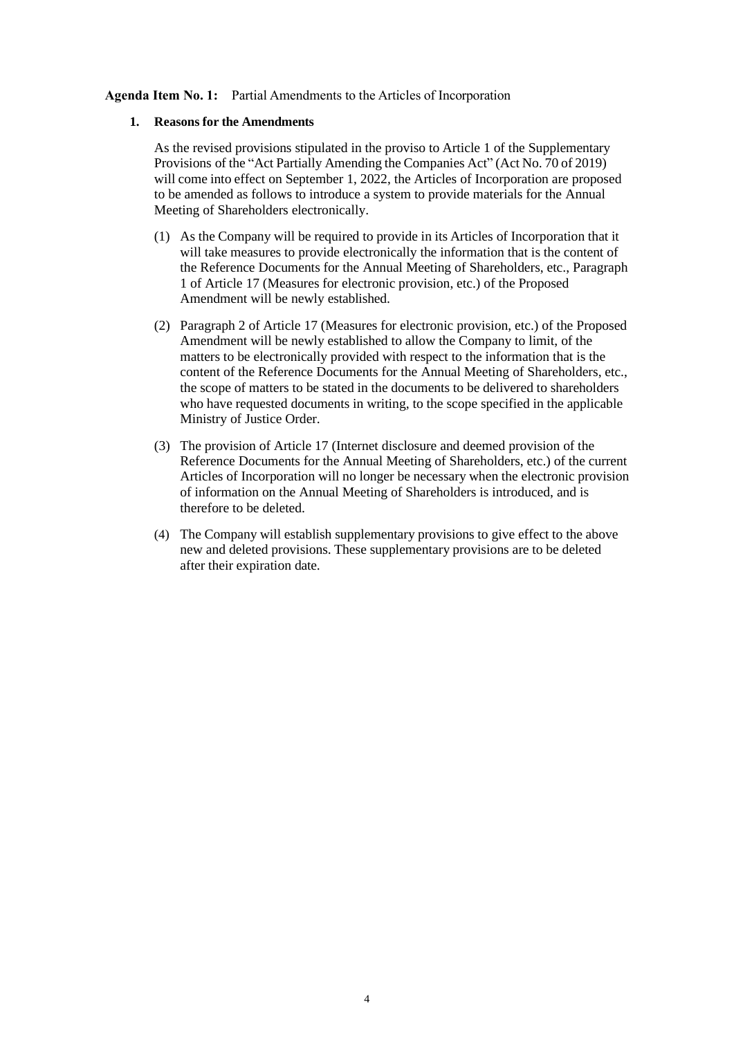### **Agenda Item No. 1:** Partial Amendments to the Articles of Incorporation

### **1. Reasons for the Amendments**

As the revised provisions stipulated in the proviso to Article 1 of the Supplementary Provisions of the "Act Partially Amending the Companies Act" (Act No. 70 of 2019) will come into effect on September 1, 2022, the Articles of Incorporation are proposed to be amended as follows to introduce a system to provide materials for the Annual Meeting of Shareholders electronically.

- (1) As the Company will be required to provide in its Articles of Incorporation that it will take measures to provide electronically the information that is the content of the Reference Documents for the Annual Meeting of Shareholders, etc., Paragraph 1 of Article 17 (Measures for electronic provision, etc.) of the Proposed Amendment will be newly established.
- (2) Paragraph 2 of Article 17 (Measures for electronic provision, etc.) of the Proposed Amendment will be newly established to allow the Company to limit, of the matters to be electronically provided with respect to the information that is the content of the Reference Documents for the Annual Meeting of Shareholders, etc., the scope of matters to be stated in the documents to be delivered to shareholders who have requested documents in writing, to the scope specified in the applicable Ministry of Justice Order.
- (3) The provision of Article 17 (Internet disclosure and deemed provision of the Reference Documents for the Annual Meeting of Shareholders, etc.) of the current Articles of Incorporation will no longer be necessary when the electronic provision of information on the Annual Meeting of Shareholders is introduced, and is therefore to be deleted.
- (4) The Company will establish supplementary provisions to give effect to the above new and deleted provisions. These supplementary provisions are to be deleted after their expiration date.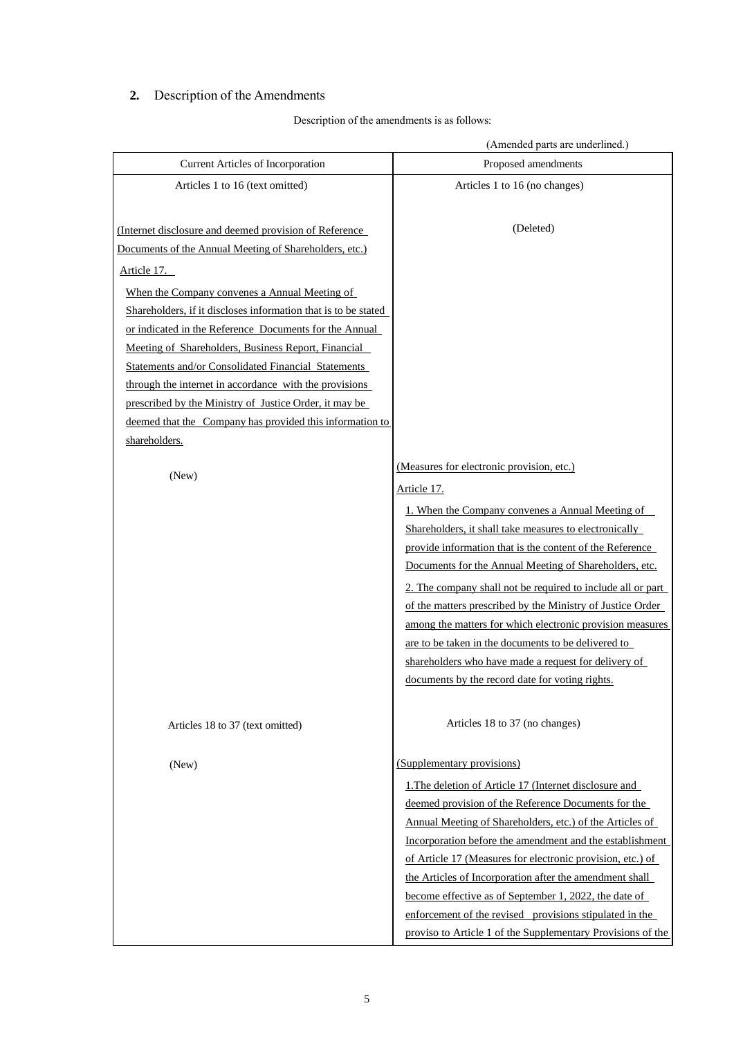# **2.** Description of the Amendments

### Description of the amendments is as follows:

|                                                                | (Amended parts are underlined.)                             |
|----------------------------------------------------------------|-------------------------------------------------------------|
| <b>Current Articles of Incorporation</b>                       | Proposed amendments                                         |
| Articles 1 to 16 (text omitted)                                | Articles 1 to 16 (no changes)                               |
|                                                                |                                                             |
| (Internet disclosure and deemed provision of Reference         | (Deleted)                                                   |
| Documents of the Annual Meeting of Shareholders, etc.)         |                                                             |
| Article 17.                                                    |                                                             |
| When the Company convenes a Annual Meeting of                  |                                                             |
| Shareholders, if it discloses information that is to be stated |                                                             |
| or indicated in the Reference Documents for the Annual         |                                                             |
| Meeting of Shareholders, Business Report, Financial            |                                                             |
| <b>Statements and/or Consolidated Financial Statements</b>     |                                                             |
| through the internet in accordance with the provisions         |                                                             |
| prescribed by the Ministry of Justice Order, it may be         |                                                             |
| deemed that the Company has provided this information to       |                                                             |
| shareholders.                                                  |                                                             |
|                                                                | (Measures for electronic provision, etc.)                   |
| (New)                                                          | <u>Article 17.</u>                                          |
|                                                                | 1. When the Company convenes a Annual Meeting of            |
|                                                                | Shareholders, it shall take measures to electronically      |
|                                                                | provide information that is the content of the Reference    |
|                                                                | Documents for the Annual Meeting of Shareholders, etc.      |
|                                                                | 2. The company shall not be required to include all or part |
|                                                                | of the matters prescribed by the Ministry of Justice Order  |
|                                                                | among the matters for which electronic provision measures   |
|                                                                | are to be taken in the documents to be delivered to         |
|                                                                | shareholders who have made a request for delivery of        |
|                                                                | documents by the record date for voting rights.             |
|                                                                |                                                             |
| Articles 18 to 37 (text omitted)                               | Articles 18 to 37 (no changes)                              |
| (New)                                                          | (Supplementary provisions)                                  |
|                                                                | 1. The deletion of Article 17 (Internet disclosure and      |
|                                                                | deemed provision of the Reference Documents for the         |
|                                                                | Annual Meeting of Shareholders, etc.) of the Articles of    |
|                                                                | Incorporation before the amendment and the establishment    |
|                                                                | of Article 17 (Measures for electronic provision, etc.) of  |
|                                                                | the Articles of Incorporation after the amendment shall     |
|                                                                | become effective as of September 1, 2022, the date of       |
|                                                                | enforcement of the revised provisions stipulated in the     |
|                                                                | proviso to Article 1 of the Supplementary Provisions of the |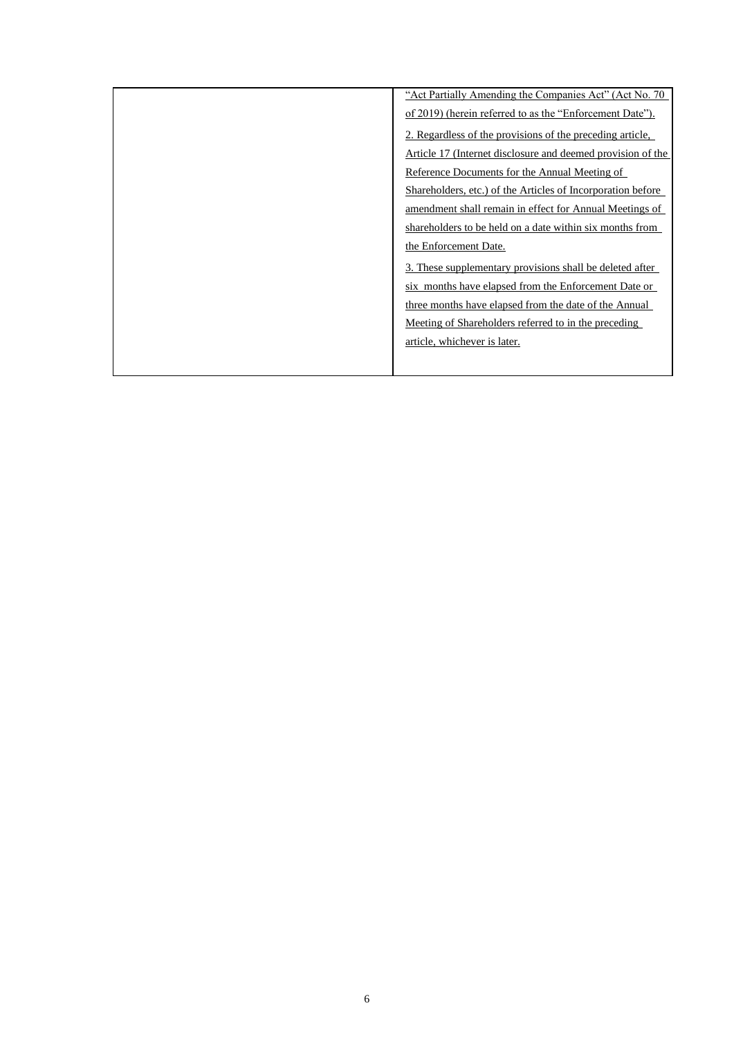| "Act Partially Amending the Companies Act" (Act No. 70)     |
|-------------------------------------------------------------|
| of 2019) (herein referred to as the "Enforcement Date").    |
| 2. Regardless of the provisions of the preceding article,   |
| Article 17 (Internet disclosure and deemed provision of the |
| Reference Documents for the Annual Meeting of               |
| Shareholders, etc.) of the Articles of Incorporation before |
| amendment shall remain in effect for Annual Meetings of     |
| shareholders to be held on a date within six months from    |
| the Enforcement Date.                                       |
| 3. These supplementary provisions shall be deleted after    |
| six months have elapsed from the Enforcement Date or        |
| three months have elapsed from the date of the Annual       |
| Meeting of Shareholders referred to in the preceding        |
| article, whichever is later.                                |
|                                                             |
|                                                             |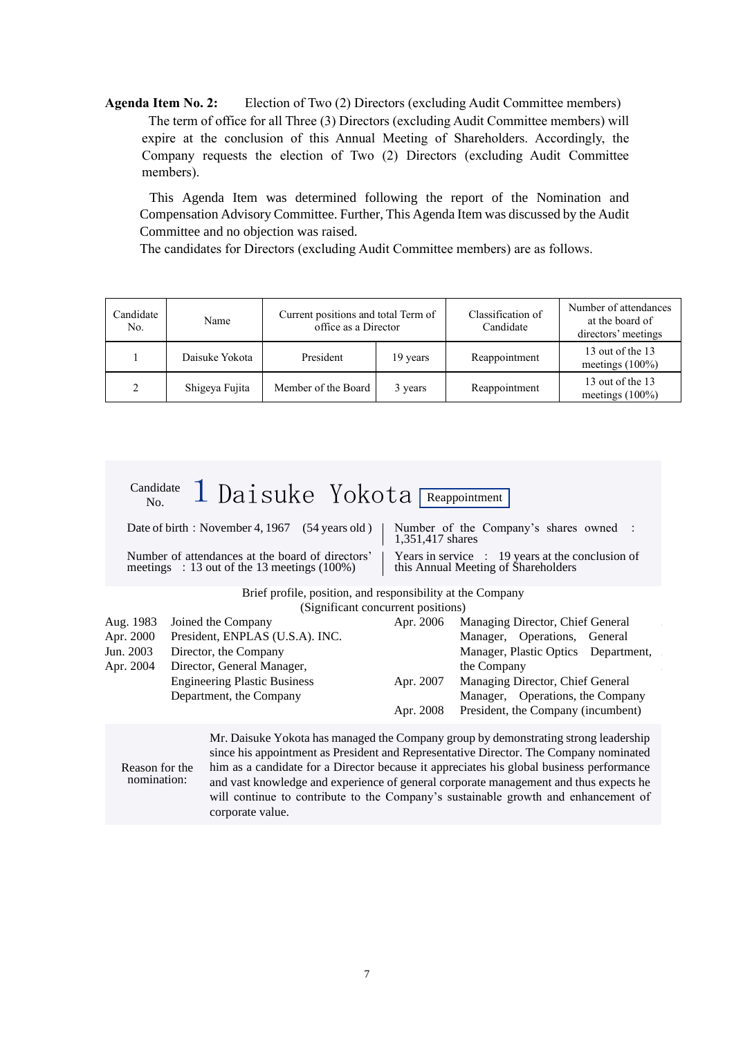**Agenda Item No. 2:** Election of Two (2) Directors (excluding Audit Committee members) The term of office for all Three (3) Directors (excluding Audit Committee members) will expire at the conclusion of this Annual Meeting of Shareholders. Accordingly, the Company requests the election of Two (2) Directors (excluding Audit Committee members).

This Agenda Item was determined following the report of the Nomination and Compensation Advisory Committee. Further, This Agenda Item was discussed by the Audit Committee and no objection was raised.

The candidates for Directors (excluding Audit Committee members) are as follows.

| Candidate<br>No. | Name           | Current positions and total Term of<br>office as a Director |         | Classification of<br>Candidate | Number of attendances<br>at the board of<br>directors' meetings |
|------------------|----------------|-------------------------------------------------------------|---------|--------------------------------|-----------------------------------------------------------------|
|                  | Daisuke Yokota | President<br>19 years                                       |         | Reappointment                  | 13 out of the 13<br>meetings $(100\%)$                          |
| 2                | Shigeya Fujita | Member of the Board                                         | 3 years | Reappointment                  | 13 out of the 13<br>meetings $(100\%)$                          |

| Candidate<br>No.              | 1 Daisuke Yokota Reappointment                                                                                                                       |                                                                                                                                                                  |                                                                                                                                                                                                                                                                                                                                                                                                                                                         |  |
|-------------------------------|------------------------------------------------------------------------------------------------------------------------------------------------------|------------------------------------------------------------------------------------------------------------------------------------------------------------------|---------------------------------------------------------------------------------------------------------------------------------------------------------------------------------------------------------------------------------------------------------------------------------------------------------------------------------------------------------------------------------------------------------------------------------------------------------|--|
|                               | Date of birth: November 4, 1967 (54 years old)<br>Number of attendances at the board of directors'<br>meetings : 13 out of the 13 meetings $(100\%)$ | Number of the Company's shares owned :<br>1,351,417 shares<br>Years in service $\therefore$ 19 years at the conclusion of<br>this Annual Meeting of Shareholders |                                                                                                                                                                                                                                                                                                                                                                                                                                                         |  |
|                               | Brief profile, position, and responsibility at the Company                                                                                           |                                                                                                                                                                  |                                                                                                                                                                                                                                                                                                                                                                                                                                                         |  |
|                               | (Significant concurrent positions)                                                                                                                   |                                                                                                                                                                  |                                                                                                                                                                                                                                                                                                                                                                                                                                                         |  |
| Aug. 1983                     | Joined the Company                                                                                                                                   | Apr. 2006                                                                                                                                                        | Managing Director, Chief General                                                                                                                                                                                                                                                                                                                                                                                                                        |  |
| Apr. 2000                     | President, ENPLAS (U.S.A). INC.                                                                                                                      |                                                                                                                                                                  | Manager, Operations, General                                                                                                                                                                                                                                                                                                                                                                                                                            |  |
| Jun. 2003                     | Director, the Company                                                                                                                                |                                                                                                                                                                  | Manager, Plastic Optics Department,                                                                                                                                                                                                                                                                                                                                                                                                                     |  |
| Apr. 2004                     | Director, General Manager,                                                                                                                           |                                                                                                                                                                  | the Company                                                                                                                                                                                                                                                                                                                                                                                                                                             |  |
|                               | <b>Engineering Plastic Business</b>                                                                                                                  | Apr. 2007                                                                                                                                                        | Managing Director, Chief General                                                                                                                                                                                                                                                                                                                                                                                                                        |  |
|                               | Department, the Company                                                                                                                              |                                                                                                                                                                  | Manager, Operations, the Company                                                                                                                                                                                                                                                                                                                                                                                                                        |  |
|                               |                                                                                                                                                      | Apr. 2008                                                                                                                                                        | President, the Company (incumbent)                                                                                                                                                                                                                                                                                                                                                                                                                      |  |
| Reason for the<br>nomination: |                                                                                                                                                      |                                                                                                                                                                  | Mr. Daisuke Yokota has managed the Company group by demonstrating strong leadership<br>since his appointment as President and Representative Director. The Company nominated<br>him as a candidate for a Director because it appreciates his global business performance<br>and vast knowledge and experience of general corporate management and thus expects he<br>will continue to contribute to the Company's sustainable growth and enhancement of |  |

corporate value.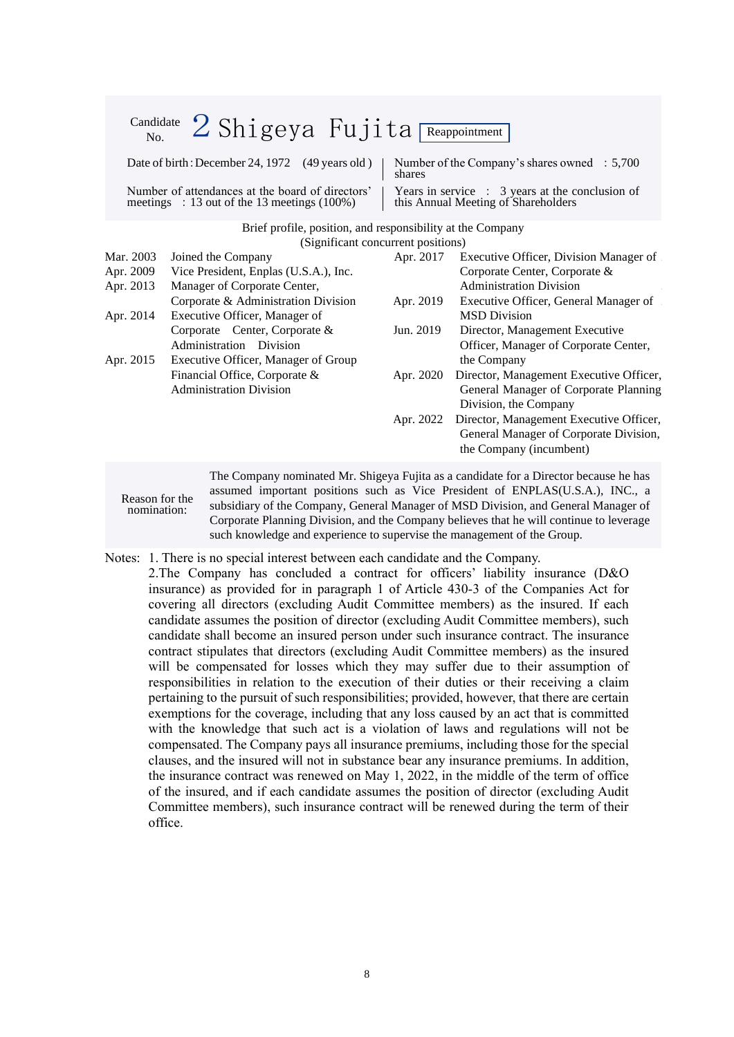| Candidate<br>No. | $2$ Shigeya Fujita Reappointment                                                                   |           |                                                                                                   |
|------------------|----------------------------------------------------------------------------------------------------|-----------|---------------------------------------------------------------------------------------------------|
|                  | Date of birth: December 24, 1972 (49 years old)                                                    | shares    | Number of the Company's shares owned $\therefore$ 5,700                                           |
|                  | Number of attendances at the board of directors'<br>meetings : 13 out of the 13 meetings $(100\%)$ |           | Years in service $\therefore$ 3 years at the conclusion of<br>this Annual Meeting of Shareholders |
|                  | Brief profile, position, and responsibility at the Company                                         |           |                                                                                                   |
|                  | (Significant concurrent positions)                                                                 |           |                                                                                                   |
| Mar. 2003        | Joined the Company                                                                                 | Apr. 2017 | Executive Officer, Division Manager of                                                            |
| Apr. 2009        | Vice President, Enplas (U.S.A.), Inc.                                                              |           | Corporate Center, Corporate &                                                                     |
| Apr. 2013        | Manager of Corporate Center,                                                                       |           | <b>Administration Division</b>                                                                    |
|                  | Corporate & Administration Division                                                                | Apr. 2019 | Executive Officer, General Manager of                                                             |
| Apr. 2014        | Executive Officer, Manager of                                                                      |           | <b>MSD</b> Division                                                                               |
|                  | Corporate Center, Corporate &                                                                      | Jun. 2019 | Director, Management Executive                                                                    |
|                  | Administration Division                                                                            |           | Officer, Manager of Corporate Center,                                                             |
| Apr. 2015        | Executive Officer, Manager of Group                                                                |           | the Company                                                                                       |
|                  | Financial Office, Corporate &                                                                      | Apr. 2020 | Director, Management Executive Officer,                                                           |
|                  | <b>Administration Division</b>                                                                     |           | General Manager of Corporate Planning                                                             |
|                  |                                                                                                    |           | Division, the Company                                                                             |
|                  |                                                                                                    | Apr. 2022 | Director, Management Executive Officer,                                                           |
|                  |                                                                                                    |           | General Manager of Corporate Division,                                                            |
|                  |                                                                                                    |           | the Company (incumbent)                                                                           |
|                  |                                                                                                    |           | The Company nominated Mr. Shigeya Fujita as a candidate for a Director because he has             |

assumed important positions such as Vice President of ENPLAS(U.S.A.), INC., a subsidiary of the Company, General Manager of MSD Division, and General Manager of Corporate Planning Division, and the Company believes that he will continue to leverage such knowledge and experience to supervise the management of the Group.

Notes: 1. There is no special interest between each candidate and the Company.

Reason for the nomination:

2.The Company has concluded a contract for officers' liability insurance (D&O insurance) as provided for in paragraph 1 of Article 430-3 of the Companies Act for covering all directors (excluding Audit Committee members) as the insured. If each candidate assumes the position of director (excluding Audit Committee members), such candidate shall become an insured person under such insurance contract. The insurance contract stipulates that directors (excluding Audit Committee members) as the insured will be compensated for losses which they may suffer due to their assumption of responsibilities in relation to the execution of their duties or their receiving a claim pertaining to the pursuit of such responsibilities; provided, however, that there are certain exemptions for the coverage, including that any loss caused by an act that is committed with the knowledge that such act is a violation of laws and regulations will not be compensated. The Company pays all insurance premiums, including those for the special clauses, and the insured will not in substance bear any insurance premiums. In addition, the insurance contract was renewed on May 1, 2022, in the middle of the term of office of the insured, and if each candidate assumes the position of director (excluding Audit Committee members), such insurance contract will be renewed during the term of their office.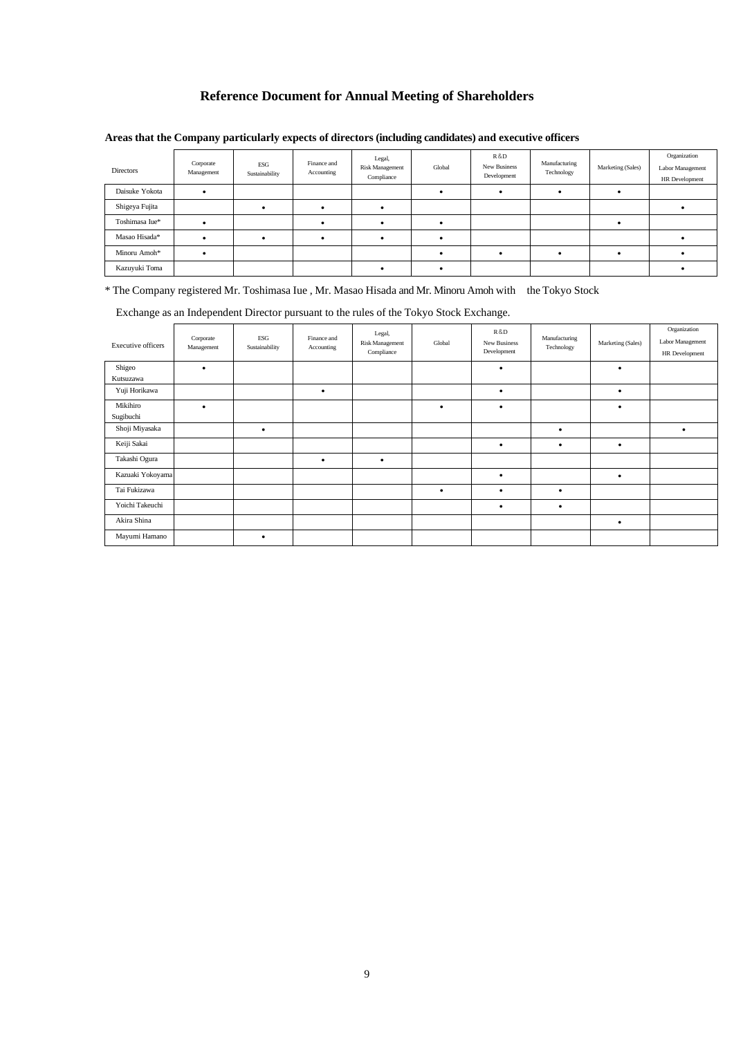## **Reference Document for Annual Meeting of Shareholders**

| Directors      | Corporate<br>Management | ESG<br>Sustainability | Finance and<br>Accounting | Legal,<br><b>Risk Management</b><br>Compliance | Global | R&D<br>New Business<br>Development | Manufacturing<br>Technology | Marketing (Sales) | Organization<br>Labor Management<br>HR Development |
|----------------|-------------------------|-----------------------|---------------------------|------------------------------------------------|--------|------------------------------------|-----------------------------|-------------------|----------------------------------------------------|
| Daisuke Yokota |                         |                       |                           |                                                |        |                                    |                             |                   |                                                    |
| Shigeya Fujita |                         |                       |                           |                                                |        |                                    |                             |                   |                                                    |
| Toshimasa Iue* |                         |                       |                           |                                                |        |                                    |                             |                   |                                                    |
| Masao Hisada*  |                         |                       |                           |                                                |        |                                    |                             |                   |                                                    |
| Minoru Amoh*   |                         |                       |                           |                                                |        |                                    |                             |                   |                                                    |
| Kazuyuki Toma  |                         |                       |                           |                                                |        |                                    |                             |                   |                                                    |

### **Areas that the Company particularly expects of directors (including candidates) and executive officers**

\* The Company registered Mr. Toshimasa Iue , Mr. Masao Hisada and Mr. Minoru Amoh with the Tokyo Stock

Exchange as an Independent Director pursuant to the rules of the Tokyo Stock Exchange.

| Executive officers    | Corporate<br>Management | ESG<br>Sustainability | Finance and<br>Accounting | Legal,<br>Risk Management<br>Compliance | Global    | R&D<br>New Business<br>Development | Manufacturing<br>Technology | Marketing (Sales) | Organization<br>Labor Management<br>HR Development |
|-----------------------|-------------------------|-----------------------|---------------------------|-----------------------------------------|-----------|------------------------------------|-----------------------------|-------------------|----------------------------------------------------|
| Shigeo                | $\bullet$               |                       |                           |                                         |           | $\bullet$                          |                             | $\bullet$         |                                                    |
| Kutsuzawa             |                         |                       |                           |                                         |           |                                    |                             |                   |                                                    |
| Yuji Horikawa         |                         |                       | ٠                         |                                         |           | $\bullet$                          |                             | $\bullet$         |                                                    |
| Mikihiro<br>Sugibuchi | $\bullet$               |                       |                           |                                         | $\bullet$ | $\bullet$                          |                             | $\bullet$         |                                                    |
| Shoji Miyasaka        |                         | ٠                     |                           |                                         |           |                                    | $\bullet$                   |                   | ٠                                                  |
| Keiji Sakai           |                         |                       |                           |                                         |           | $\bullet$                          | $\bullet$                   | $\bullet$         |                                                    |
| Takashi Ogura         |                         |                       | $\bullet$                 | ٠                                       |           |                                    |                             |                   |                                                    |
| Kazuaki Yokoyama      |                         |                       |                           |                                         |           | $\bullet$                          |                             | $\bullet$         |                                                    |
| Tai Fukizawa          |                         |                       |                           |                                         | $\bullet$ | $\bullet$                          | $\bullet$                   |                   |                                                    |
| Yoichi Takeuchi       |                         |                       |                           |                                         |           | $\bullet$                          | $\bullet$                   |                   |                                                    |
| Akira Shina           |                         |                       |                           |                                         |           |                                    |                             | $\bullet$         |                                                    |
| Mayumi Hamano         |                         | $\bullet$             |                           |                                         |           |                                    |                             |                   |                                                    |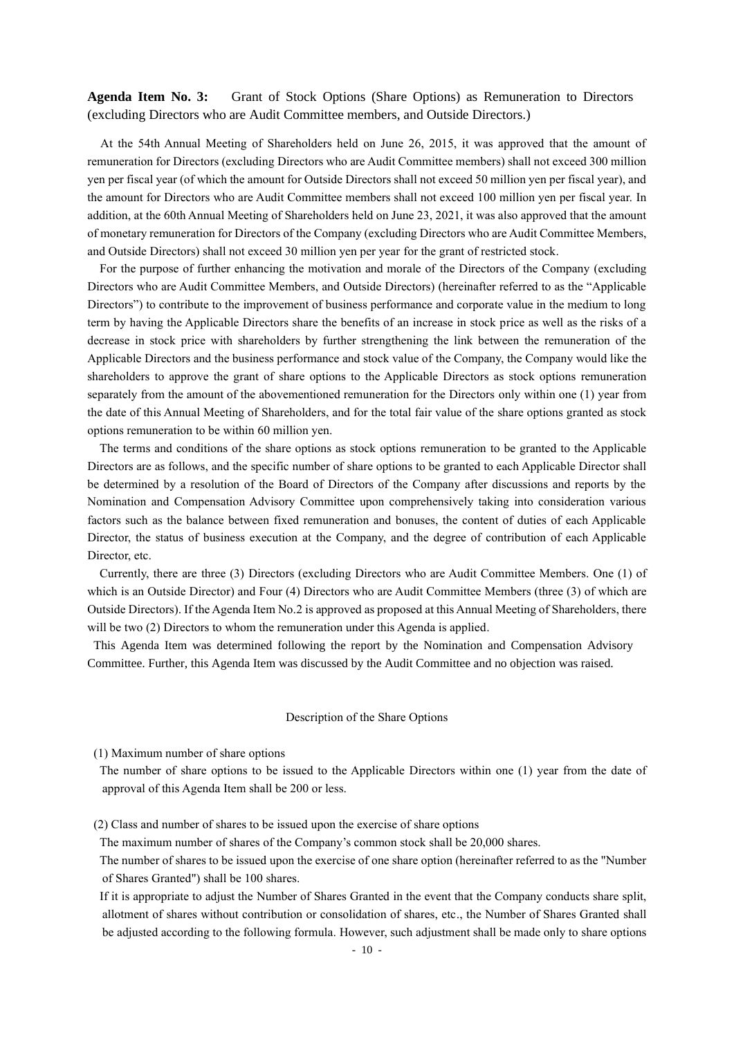**Agenda Item No. 3:** Grant of Stock Options (Share Options) as Remuneration to Directors (excluding Directors who are Audit Committee members, and Outside Directors.)

At the 54th Annual Meeting of Shareholders held on June 26, 2015, it was approved that the amount of remuneration for Directors (excluding Directors who are Audit Committee members) shall not exceed 300 million yen per fiscal year (of which the amount for Outside Directors shall not exceed 50 million yen per fiscal year), and the amount for Directors who are Audit Committee members shall not exceed 100 million yen per fiscal year. In addition, at the 60th Annual Meeting of Shareholders held on June 23, 2021, it was also approved that the amount of monetary remuneration for Directors of the Company (excluding Directors who are Audit Committee Members, and Outside Directors) shall not exceed 30 million yen per year for the grant of restricted stock.

For the purpose of further enhancing the motivation and morale of the Directors of the Company (excluding Directors who are Audit Committee Members, and Outside Directors) (hereinafter referred to as the "Applicable Directors") to contribute to the improvement of business performance and corporate value in the medium to long term by having the Applicable Directors share the benefits of an increase in stock price as well as the risks of a decrease in stock price with shareholders by further strengthening the link between the remuneration of the Applicable Directors and the business performance and stock value of the Company, the Company would like the shareholders to approve the grant of share options to the Applicable Directors as stock options remuneration separately from the amount of the abovementioned remuneration for the Directors only within one (1) year from the date of this Annual Meeting of Shareholders, and for the total fair value of the share options granted as stock options remuneration to be within 60 million yen.

The terms and conditions of the share options as stock options remuneration to be granted to the Applicable Directors are as follows, and the specific number of share options to be granted to each Applicable Director shall be determined by a resolution of the Board of Directors of the Company after discussions and reports by the Nomination and Compensation Advisory Committee upon comprehensively taking into consideration various factors such as the balance between fixed remuneration and bonuses, the content of duties of each Applicable Director, the status of business execution at the Company, and the degree of contribution of each Applicable Director, etc.

Currently, there are three (3) Directors (excluding Directors who are Audit Committee Members. One (1) of which is an Outside Director) and Four (4) Directors who are Audit Committee Members (three (3) of which are Outside Directors). If the Agenda Item No.2 is approved as proposed at this Annual Meeting of Shareholders, there will be two (2) Directors to whom the remuneration under this Agenda is applied.

This Agenda Item was determined following the report by the Nomination and Compensation Advisory Committee. Further, this Agenda Item was discussed by the Audit Committee and no objection was raised.

#### Description of the Share Options

(1) Maximum number of share options

The number of share options to be issued to the Applicable Directors within one (1) year from the date of approval of this Agenda Item shall be 200 or less.

(2) Class and number of shares to be issued upon the exercise of share options

The maximum number of shares of the Company's common stock shall be 20,000 shares.

The number of shares to be issued upon the exercise of one share option (hereinafter referred to as the "Number of Shares Granted") shall be 100 shares.

If it is appropriate to adjust the Number of Shares Granted in the event that the Company conducts share split, allotment of shares without contribution or consolidation of shares, etc., the Number of Shares Granted shall be adjusted according to the following formula. However, such adjustment shall be made only to share options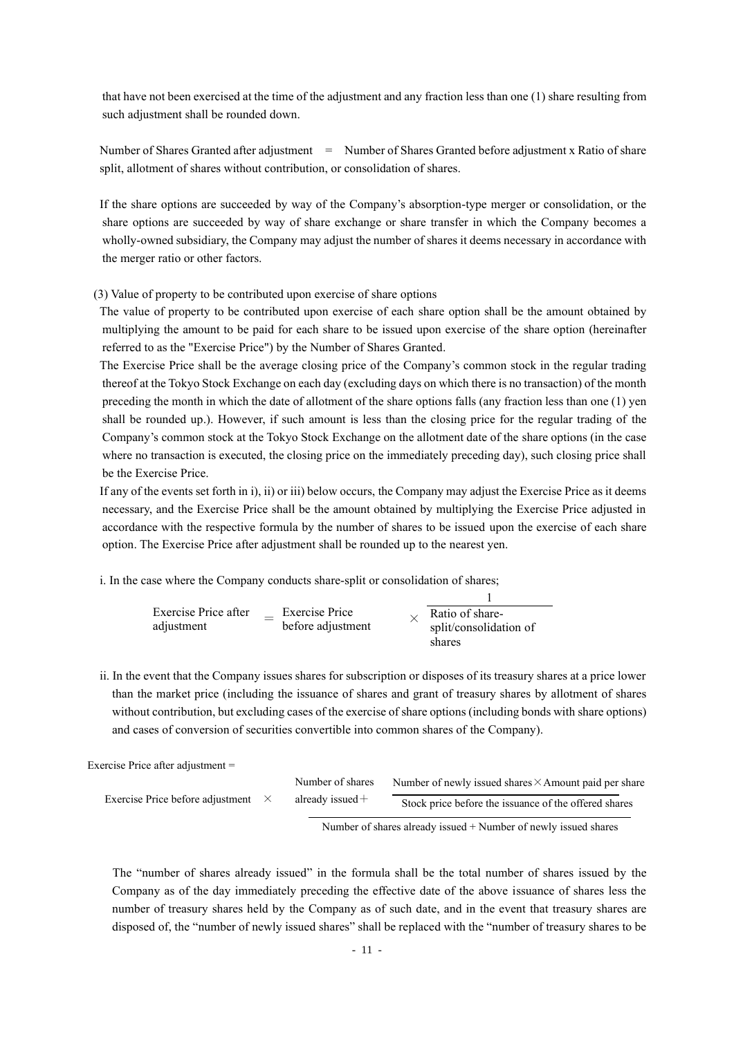that have not been exercised at the time of the adjustment and any fraction less than one (1) share resulting from such adjustment shall be rounded down.

Number of Shares Granted after adjustment = Number of Shares Granted before adjustment x Ratio of share split, allotment of shares without contribution, or consolidation of shares.

If the share options are succeeded by way of the Company's absorption-type merger or consolidation, or the share options are succeeded by way of share exchange or share transfer in which the Company becomes a wholly-owned subsidiary, the Company may adjust the number of shares it deems necessary in accordance with the merger ratio or other factors.

(3) Value of property to be contributed upon exercise of share options

The value of property to be contributed upon exercise of each share option shall be the amount obtained by multiplying the amount to be paid for each share to be issued upon exercise of the share option (hereinafter referred to as the "Exercise Price") by the Number of Shares Granted.

The Exercise Price shall be the average closing price of the Company's common stock in the regular trading thereof at the Tokyo Stock Exchange on each day (excluding days on which there is no transaction) of the month preceding the month in which the date of allotment of the share options falls (any fraction less than one (1) yen shall be rounded up.). However, if such amount is less than the closing price for the regular trading of the Company's common stock at the Tokyo Stock Exchange on the allotment date of the share options (in the case where no transaction is executed, the closing price on the immediately preceding day), such closing price shall be the Exercise Price.

If any of the events set forth in i), ii) or iii) below occurs, the Company may adjust the Exercise Price as it deems necessary, and the Exercise Price shall be the amount obtained by multiplying the Exercise Price adjusted in accordance with the respective formula by the number of shares to be issued upon the exercise of each share option. The Exercise Price after adjustment shall be rounded up to the nearest yen.

i. In the case where the Company conducts share-split or consolidation of shares;

| Exercise Price after<br>adjustment | <b>Exercise Price</b><br>before adjustment | Ratio of share-<br>split/consolidation of<br>shares |
|------------------------------------|--------------------------------------------|-----------------------------------------------------|

ii. In the event that the Company issues shares for subscription or disposes of its treasury shares at a price lower than the market price (including the issuance of shares and grant of treasury shares by allotment of shares without contribution, but excluding cases of the exercise of share options (including bonds with share options) and cases of conversion of securities convertible into common shares of the Company).

Exercise Price after adjustment =

|                                           | Number of shares   | Number of newly issued shares $\times$ Amount paid per share |
|-------------------------------------------|--------------------|--------------------------------------------------------------|
| Exercise Price before adjustment $\times$ | already issued $+$ | Stock price before the issuance of the offered shares        |
|                                           |                    |                                                              |

Number of shares already issued + Number of newly issued shares

The "number of shares already issued" in the formula shall be the total number of shares issued by the Company as of the day immediately preceding the effective date of the above issuance of shares less the number of treasury shares held by the Company as of such date, and in the event that treasury shares are disposed of, the "number of newly issued shares" shall be replaced with the "number of treasury shares to be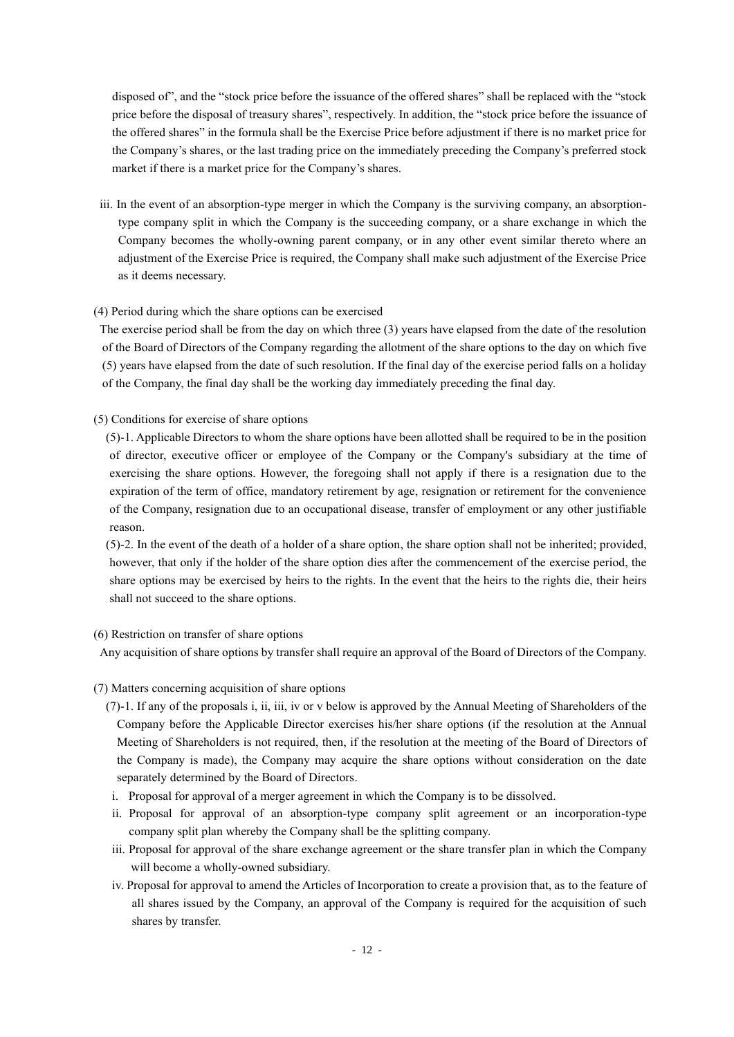disposed of", and the "stock price before the issuance of the offered shares" shall be replaced with the "stock price before the disposal of treasury shares", respectively. In addition, the "stock price before the issuance of the offered shares" in the formula shall be the Exercise Price before adjustment if there is no market price for the Company's shares, or the last trading price on the immediately preceding the Company's preferred stock market if there is a market price for the Company's shares.

iii. In the event of an absorption-type merger in which the Company is the surviving company, an absorptiontype company split in which the Company is the succeeding company, or a share exchange in which the Company becomes the wholly-owning parent company, or in any other event similar thereto where an adjustment of the Exercise Price is required, the Company shall make such adjustment of the Exercise Price as it deems necessary.

### (4) Period during which the share options can be exercised

The exercise period shall be from the day on which three (3) years have elapsed from the date of the resolution of the Board of Directors of the Company regarding the allotment of the share options to the day on which five (5) years have elapsed from the date of such resolution. If the final day of the exercise period falls on a holiday of the Company, the final day shall be the working day immediately preceding the final day.

(5) Conditions for exercise of share options

(5)-1. Applicable Directors to whom the share options have been allotted shall be required to be in the position of director, executive officer or employee of the Company or the Company's subsidiary at the time of exercising the share options. However, the foregoing shall not apply if there is a resignation due to the expiration of the term of office, mandatory retirement by age, resignation or retirement for the convenience of the Company, resignation due to an occupational disease, transfer of employment or any other justifiable reason.

(5)-2. In the event of the death of a holder of a share option, the share option shall not be inherited; provided, however, that only if the holder of the share option dies after the commencement of the exercise period, the share options may be exercised by [heirs to the rights.](https://www.jukkou-z.com/member/kui/jukkous?access_token=8b9a1964163c3fc28d365dcd46d2e507) In the event that the [heirs to the rights](https://www.jukkou-z.com/member/kui/jukkous?access_token=8b9a1964163c3fc28d365dcd46d2e507) die, their heirs shall not succeed to the share options.

#### (6) Restriction on transfer of share options

Any acquisition of share options by transfer shall require an approval of the Board of Directors of the Company.

- (7) Matters concerning acquisition of share options
	- (7)-1. If any of the proposals i, ii, iii, iv or v below is approved by the Annual Meeting of Shareholders of the Company before the Applicable Director exercises his/her share options (if the resolution at the Annual Meeting of Shareholders is not required, then, if the resolution at the meeting of the Board of Directors of the Company is made), the Company may acquire the share options without consideration on the date separately determined by the Board of Directors.
	- i. Proposal for approval of a merger agreement in which the Company is to be dissolved.
	- ii. Proposal for approval of an absorption-type company split agreement or an incorporation-type company split plan whereby the Company shall be the splitting company.
	- iii. Proposal for approval of the share exchange agreement or the share transfer plan in which the Company will become a wholly-owned subsidiary.
	- iv. Proposal for approval to amend the Articles of Incorporation to create a provision that, as to the feature of all shares issued by the Company, an approval of the Company is required for the acquisition of such shares by transfer.